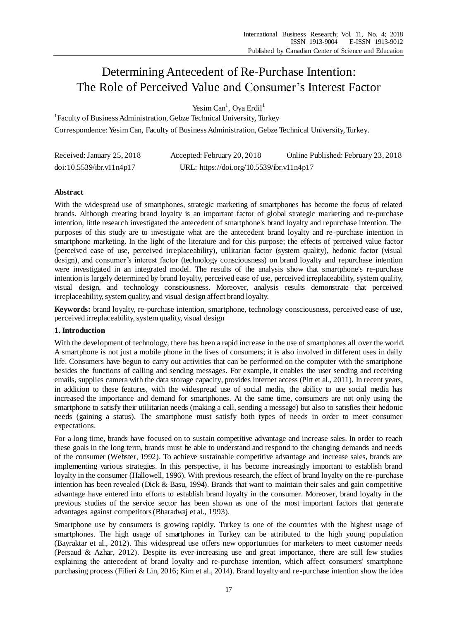# Determining Antecedent of Re-Purchase Intention: The Role of Perceived Value and Consumer's Interest Factor

Yesim Can<sup>1</sup>, Oya Erdil<sup>1</sup>

<sup>1</sup>Faculty of Business Administration, Gebze Technical University, Turkey Correspondence: Yesim Can, Faculty of Business Administration, Gebze Technical University, Turkey.

| Received: January 25, 2018 | Accepted: February 20, 2018               | Online Published: February 23, 2018 |
|----------------------------|-------------------------------------------|-------------------------------------|
| doi:10.5539/ibr.v11n4p17   | URL: https://doi.org/10.5539/ibr.v11n4p17 |                                     |

# **Abstract**

With the widespread use of smartphones, strategic marketing of smartphones has become the focus of related brands. Although creating brand loyalty is an important factor of global strategic marketing and re-purchase intention, little research investigated the antecedent of smartphone's brand loyalty and repurchase intention. The purposes of this study are to investigate what are the antecedent brand loyalty and re-purchase intention in smartphone marketing. In the light of the literature and for this purpose; the effects of perceived value factor (perceived ease of use, perceived irreplaceability), utilitarian factor (system quality), hedonic factor (visual design), and consumer's interest factor (technology consciousness) on brand loyalty and repurchase intention were investigated in an integrated model. The results of the analysis show that smartphone's re-purchase intention is largely determined by brand loyalty, perceived ease of use, perceived irreplaceability, system quality, visual design, and technology consciousness. Moreover, analysis results demonstrate that perceived irreplaceability, system quality, and visual design affect brand loyalty.

**Keywords:** brand loyalty, re-purchase intention, smartphone, technology consciousness, perceived ease of use, perceived irreplaceability, system quality, visual design

# **1. Introduction**

With the development of technology, there has been a rapid increase in the use of smartphones all over the world. A smartphone is not just a mobile phone in the lives of consumers; it is also involved in different uses in daily life. Consumers have begun to carry out activities that can be performed on the computer with the smartphone besides the functions of calling and sending messages. For example, it enables the user sending and receiving emails, supplies camera with the data storage capacity, provides internet access (Pitt et al., 2011). In recent years, in addition to these features, with the widespread use of social media, the ability to use social media has increased the importance and demand for smartphones. At the same time, consumers are not only using the smartphone to satisfy their utilitarian needs (making a call, sending a message) but also to satisfies their hedonic needs (gaining a status). The smartphone must satisfy both types of needs in order to meet consumer expectations.

For a long time, brands have focused on to sustain competitive advantage and increase sales. In order to reach these goals in the long term, brands must be able to understand and respond to the changing demands and needs of the consumer (Webster, 1992). To achieve sustainable competitive advantage and increase sales, brands are implementing various strategies. In this perspective, it has become increasingly important to establish brand loyalty in the consumer (Hallowell, 1996). With previous research, the effect of brand loyalty on the re-purchase intention has been revealed (Dick & Basu, 1994). Brands that want to maintain their sales and gain competitive advantage have entered into efforts to establish brand loyalty in the consumer. Moreover, brand loyalty in the previous studies of the service sector has been shown as one of the most important factors that generate advantages against competitors (Bharadwaj et al., 1993).

Smartphone use by consumers is growing rapidly. Turkey is one of the countries with the highest usage of smartphones. The high usage of smartphones in Turkey can be attributed to the high young population (Bayraktar et al., 2012). This widespread use offers new opportunities for marketers to meet customer needs (Persaud & Azhar, 2012). Despite its ever-increasing use and great importance, there are still few studies explaining the antecedent of brand loyalty and re-purchase intention, which affect consumers' smartphone purchasing process (Filieri & Lin, 2016; Kim et al., 2014). Brand loyalty and re-purchase intention show the idea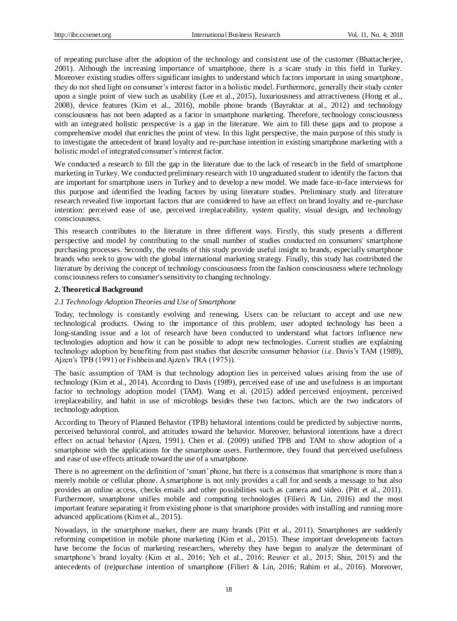of repeating purchase after the adoption of the technology and consistent use of the customer (Bhattacherjee, 2001). Although the increasing importance of smartphone, there is a scare study in this field in Turkey. Moreover existing studies offers significant insights to understand which factors important in using smartphone, they do not shed light on consumer's interest factor in a holistic model. Furthermore, generally their study center upon a single point of view such as usability (Lee et al., 2015), luxuriousness and attractiveness (Hong et al., 2008), device features (Kim et al., 2016), mobile phone brands (Bayraktar at al., 2012) and technology consciousness has not been adapted as a factor in smartphone marketing. Therefore, technology consciousness with an integrated holistic perspective is a gap in the literature. We aim to fill these gaps and to propose a comprehensive model that enriches the point of view. In this light perspective, the main purpose of this study is to investigate the antecedent of brand loyalty and re-purchase intention in existing smartphone marketing with a holistic model of integrated consumer's interest factor.

We conducted a research to fill the gap in the literature due to the lack of research in the field of smartphone marketing in Turkey. We conducted preliminary research with 10 ungraduated student to identify the factors that are important for smartphone users in Turkey and to develop a new model. We made face-to-face interviews for this purpose and identified the leading factors by using literature studies. Preliminary study and literature research revealed five important factors that are considered to have an effect on brand loyalty and re -purchase intention: perceived ease of use, perceived irreplaceability, system quality, visual design, and technology consciousness.

This research contributes to the literature in three different ways. Firstly, this study presents a different perspective and model by contributing to the small number of studies conducted on consumers' smartphone purchasing processes. Secondly, the results of this study provide useful insight to brands, especially smartphone brands who seek to grow with the global international marketing strategy. Finally, this study has contributed the literature by deriving the concept of technology consciousness from the fashion consciousness where technology consciousness refers to consumer's sensitivity to changing technology.

#### **2. Theoretical Background**

#### *2.1 Technology Adoption Theories and Use of Smartphone*

Today, technology is constantly evolving and renewing. Users can be reluctant to accept and use new technological products. Owing to the importance of this problem, user adopted technology has been a long-standing issue and a lot of research have been conducted to understand what factors influence new technologies adoption and how it can be possible to adopt new technologies. Current studies are explaining technology adoption by benefiting from past studies that describe consumer behavior (i.e. Davis's TAM (1989), Ajzen's TPB (1991) or Fishbein and Ajzen's TRA (1975)).

The basic assumption of TAM is that technology adoption lies in perceived values arising from the use of technology (Kim et al., 2014). According to Davis (1989), perceived ease of use and usefulness is an important factor to technology adoption model (TAM). Wang et al. (2015) added perceived enjoyment, perceived irreplaceability, and habit in use of microblogs besides these two factors, which are the two indicators of technology adoption.

According to Theory of Planned Behavior (TPB) behavioral intentions could be predicted by subjective norms, perceived behavioral control, and attitudes toward the behavior. Moreover, behavioral intentions have a direct effect on actual behavior (Ajzen, 1991). Chen et al. (2009) unified TPB and TAM to show adoption of a smartphone with the applications for the smartphone users. Furthermore, they found that perceived usefulness and ease of use effects attitude toward the use of a smartphone.

There is no agreement on the definition of 'smart' phone, but there is a consensus that smartphone is more than a merely mobile or cellular phone. A smartphone is not only provides a call for and sends a message to but also provides an online access, checks emails and other possibilities such as camera and video. (Pitt et al., 2011). Furthermore, smartphone unifies mobile and computing technologies (Filieri & Lin, 2016) and the most important feature separating it from existing phone is that smartphone provides with installing and running more advanced applications (Kim et al., 2015).

Nowadays, in the smartphone market, there are many brands (Pitt et al., 2011). Smartphones are suddenly reforming competition in mobile phone marketing (Kim et al., 2015). These important developments factors have become the focus of marketing researchers, whereby they have begun to analyze the determinant of smartphone's brand loyalty (Kim et al., 2016; Yeh et al., 2016; Reuver et al., 2015; Shin, 2015) and the antecedents of (re)purchase intention of smartphone (Filieri & Lin, 2016; Rahim et al., 2016). Moreover,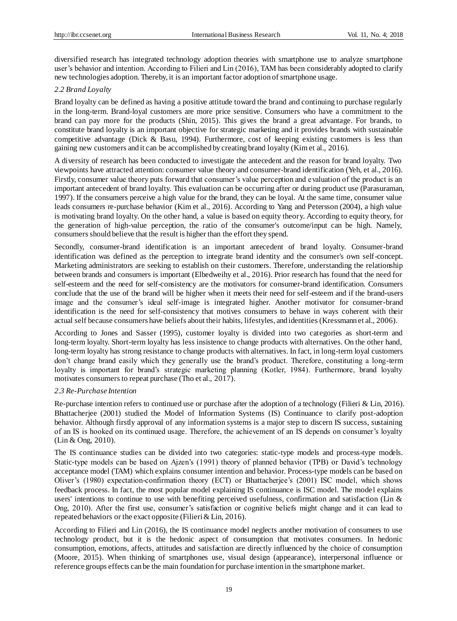diversified research has integrated technology adoption theories with smartphone use to analyze smartphone user's behavior and intention. According to Filieri and Lin (2016), TAM has been considerably adopted to clarify new technologies adoption. Thereby, it is an important factor adoption of smartphone usage.

## *2.2 Brand Loyalty*

Brand loyalty can be defined as having a positive attitude toward the brand and continuing to purchase regularly in the long-term. Brand-loyal customers are more price sensitive. Consumers who have a commitment to the brand can pay more for the products (Shin, 2015). This gives the brand a great advantage. For brands, to constitute brand loyalty is an important objective for strategic marketing and it provides brands with sustainable competitive advantage (Dick & Basu, 1994). Furthermore, cost of keeping existing customers is less than gaining new customers and it can be accomplished by creating brand loyalty (Kim et al., 2016).

A diversity of research has been conducted to investigate the antecedent and the reason for brand loyalty. Two viewpoints have attracted attention: consumer value theory and consumer-brand identification (Yeh, et al., 2016). Firstly, consumer value theory puts forward that consumer's value perception and evaluation of the product is an important antecedent of brand loyalty. This evaluation can be occurring after or during product use (Parasuraman, 1997). If the consumers perceive a high value for the brand, they can be loyal. At the same time, consumer value leads consumers re-purchase behavior (Kim et al., 2016). According to Yang and Petersson (2004), a high value is motivating brand loyalty. On the other hand, a value is based on equity theory. According to equity theory, for the generation of high-value perception, the ratio of the consumer's outcome/input can be high. Namely, consumers should believe that the result is higher than the effort they spend.

Secondly, consumer-brand identification is an important antecedent of brand loyalty. Consumer-brand identification was defined as the perception to integrate brand identity and the consumer's own self-concept. Marketing administrators are seeking to establish on their customers. Therefore, understanding the relationship between brands and consumers is important (Elbedweihy et al., 2016). Prior research has found that the need for self-esteem and the need for self-consistency are the motivators for consumer-brand identification. Consumers conclude that the use of the brand will be higher when it meets their need for self-esteem and if the brand-users image and the consumer's ideal self-image is integrated higher. Another motivator for consumer-brand identification is the need for self-consistency that motives consumers to behave in ways coherent with their actual self because consumers have beliefs about their habits, lifestyles, and identities (Kressmann et al., 2006).

According to Jones and Sasser (1995), customer loyalty is divided into two categories as short-term and long-term loyalty. Short-term loyalty has less insistence to change products with alternatives. On the other hand, long-term loyalty has strong resistance to change products with alternatives. In fact, in long-term loyal customers don't change brand easily which they generally use the brand's product. Therefore, constituting a long-term loyalty is important for brand's strategic marketing planning (Kotler, 1984). Furthermore, brand loyalty motivates consumers to repeat purchase (Tho et al., 2017).

## *2.3 Re-Purchase Intention*

Re-purchase intention refers to continued use or purchase after the adoption of a technology (Filieri & Lin, 2016). Bhattacherjee (2001) studied the Model of Information Systems (IS) Continuance to clarify post-adoption behavior. Although firstly approval of any information systems is a major step to discern IS success, sustaining of an IS is hooked on its continued usage. Therefore, the achievement of an IS depends on consumer's loyalty (Lin & Ong, 2010).

The IS continuance studies can be divided into two categories: static-type models and process-type models. Static-type models can be based on Ajzen's (1991) theory of planned behavior (TPB) or David's technology acceptance model (TAM) which explains consumer intention and behavior. Process-type models can be based on Oliver's (1980) expectation-confirmation theory (ECT) or Bhattacherjee's (2001) ISC model, which shows feedback process. In fact, the most popular model explaining IS continuance is ISC model. The model explains users' intentions to continue to use with benefiting perceived usefulness, confirmation and satisfaction (Lin & Ong, 2010). After the first use, consumer's satisfaction or cognitive beliefs might change and it can lead to repeated behaviors or the exact opposite (Filieri & Lin, 2016).

According to Filieri and Lin (2016), the IS continuance model neglects another motivation of consumers to use technology product, but it is the hedonic aspect of consumption that motivates consumers. In hedonic consumption, emotions, affects, attitudes and satisfaction are directly influenced by the choice of consumption (Moore, 2015). When thinking of smartphones use, visual design (appearance), interpersonal influence or reference groups effects can be the main foundation for purchase intention in the smartphone market.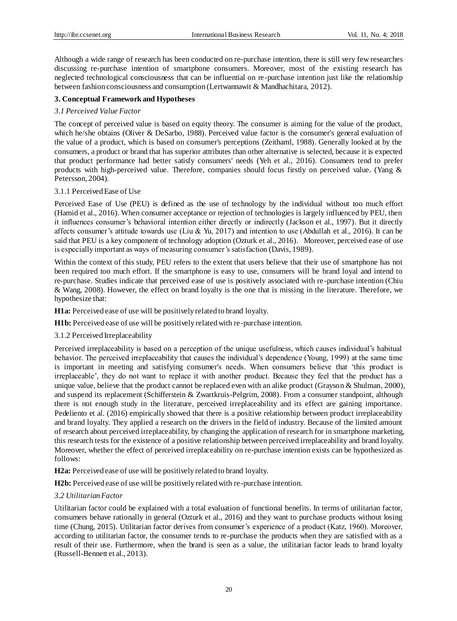Although a wide range of research has been conducted on re-purchase intention, there is still very few researches discussing re-purchase intention of smartphone consumers. Moreover, most of the existing research has neglected technological consciousness that can be influential on re-purchase intention just like the relationship between fashion consciousness and consumption (Lertwannawit & Mandhachitara, 2012).

## **3. Conceptual Framework and Hypotheses**

#### *3.1 Perceived Value Factor*

The concept of perceived value is based on equity theory. The consumer is aiming for the value of the product, which he/she obtains (Oliver & DeSarbo, 1988). Perceived value factor is the consumer's general evaluation of the value of a product, which is based on consumer's perceptions (Zeithaml, 1988). Generally looked at by the consumers, a product or brand that has superior attributes than other alternative is selected, because it is expected that product performance had better satisfy consumers' needs (Yeh et al., 2016). Consumers tend to prefer products with high-perceived value. Therefore, companies should focus firstly on perceived value. (Yang & Petersson, 2004).

## 3.1.1 Perceived Ease of Use

Perceived Ease of Use (PEU) is defined as the use of technology by the individual without too much effort (Hamid et al., 2016). When consumer acceptance or rejection of technologies is largely influenced by PEU, then it influences consumer's behavioral intention either directly or indirectly (Jackson et al., 1997). But it directly affects consumer's attitude towards use (Liu & Yu, 2017) and intention to use (Abdullah et al., 2016). It can be said that PEU is a key component of technology adoption (Ozturk et al., 2016). Moreover, perceived ease of use is especially important as ways of measuring consumer's satisfaction (Davis, 1989).

Within the context of this study, PEU refers to the extent that users believe that their use of smartphone has not been required too much effort. If the smartphone is easy to use, consumers will be brand loyal and intend to re-purchase. Studies indicate that perceived ease of use is positively associated with re-purchase intention (Chiu & Wang, 2008). However, the effect on brand loyalty is the one that is missing in the literature. Therefore, we hypothesize that:

**H1a:** Perceived ease of use will be positively related to brand loyalty.

**H1b:** Perceived ease of use will be positively related with re-purchase intention.

#### 3.1.2 Perceived Irreplaceability

Perceived irreplaceability is based on a perception of the unique usefulness, which causes individual's habitual behavior. The perceived irreplaceability that causes the individual's dependence (Young, 1999) at the same time is important in meeting and satisfying consumer's needs. When consumers believe that 'this product is irreplaceable', they do not want to replace it with another product. Because they feel that the product has a unique value, believe that the product cannot be replaced even with an alike product (Grayson & Shulman, 2000), and suspend its replacement (Schifferstein & Zwartkruis-Pelgrim, 2008). From a consumer standpoint, although there is not enough study in the literature, perceived irreplaceability and its effect are gaining importance. Pedeliento et al. (2016) empirically showed that there is a positive relationship between product irreplaceability and brand loyalty. They applied a research on the drivers in the field of industry. Because of the limited amount of research about perceived irreplaceability, by changing the application of research for in smartphone marketing, this research tests for the existence of a positive relationship between perceived irreplaceability and brand loyalty. Moreover, whether the effect of perceived irreplaceability on re-purchase intention exists can be hypothesized as follows:

**H2a:** Perceived ease of use will be positively related to brand loyalty.

**H2b:** Perceived ease of use will be positively related with re-purchase intention.

#### *3.2 Utilitarian Factor*

Utilitarian factor could be explained with a total evaluation of functional benefits. In terms of utilitarian factor, consumers behave rationally in general (Ozturk et al., 2016) and they want to purchase products without losing time (Chung, 2015). Utilitarian factor derives from consumer's experience of a product (Katz, 1960). Moreover, according to utilitarian factor, the consumer tends to re-purchase the products when they are satisfied with as a result of their use. Furthermore, when the brand is seen as a value, the utilitarian factor leads to brand loyalty (Russell-Bennett et al., 2013).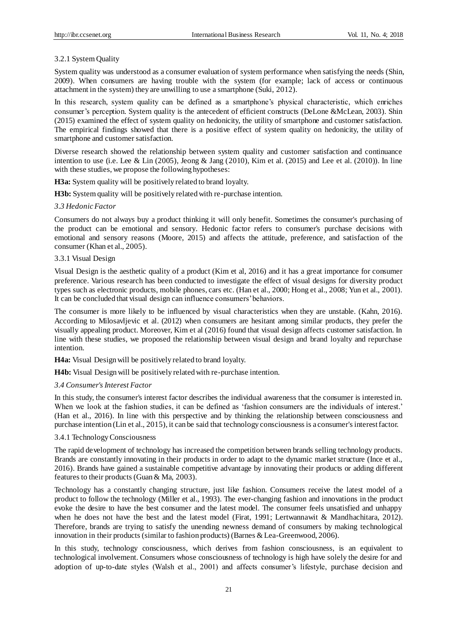#### 3.2.1 System Quality

System quality was understood as a consumer evaluation of system performance when satisfying the needs (Shin, 2009). When consumers are having trouble with the system (for example; lack of access or continuous attachment in the system) they are unwilling to use a smartphone (Suki, 2012).

In this research, system quality can be defined as a smartphone's physical characteristic, which enriches consumer's perception. System quality is the antecedent of efficient constructs (DeLone &McLean, 2003). Shin (2015) examined the effect of system quality on hedonicity, the utility of smartphone and customer satisfaction. The empirical findings showed that there is a positive effect of system quality on hedonicity, the utility of smartphone and customer satisfaction.

Diverse research showed the relationship between system quality and customer satisfaction and continuance intention to use (i.e. Lee & Lin (2005), Jeong & Jang (2010), Kim et al. (2015) and Lee et al. (2010)). In line with these studies, we propose the following hypotheses:

**H3a:** System quality will be positively related to brand loyalty.

**H3b:** System quality will be positively related with re-purchase intention.

## *3.3 Hedonic Factor*

Consumers do not always buy a product thinking it will only benefit. Sometimes the consumer's purchasing of the product can be emotional and sensory. Hedonic factor refers to consumer's purchase decisions with emotional and sensory reasons (Moore, 2015) and affects the attitude, preference, and satisfaction of the consumer (Khan et al., 2005).

## 3.3.1 Visual Design

Visual Design is the aesthetic quality of a product (Kim et al, 2016) and it has a great importance for consumer preference. Various research has been conducted to investigate the effect of visual designs for diversity product types such as electronic products, mobile phones, cars etc. (Han et al., 2000; Hong et al., 2008; Yun et al., 2001). It can be concluded that visual design can influence consumers' behaviors.

The consumer is more likely to be influenced by visual characteristics when they are unstable. (Kahn, 2016). According to Milosavljevic et al. (2012) when consumers are hesitant among similar products, they prefer the visually appealing product. Moreover, Kim et al (2016) found that visual design affects customer satisfaction. In line with these studies, we proposed the relationship between visual design and brand loyalty and repurchase intention.

**H4a:** Visual Design will be positively related to brand loyalty.

**H4b:** Visual Design will be positively related with re-purchase intention.

## *3.4 Consumer's Interest Factor*

In this study, the consumer's interest factor describes the individual awareness that the consumer is interested in. When we look at the fashion studies, it can be defined as 'fashion consumers are the individuals of interest.' (Han et al., 2016). In line with this perspective and by thinking the relationship between consciousness and purchase intention (Lin et al., 2015), it can be said that technology consciousness is a consumer's interest factor.

## 3.4.1 Technology Consciousness

The rapid development of technology has increased the competition between brands selling technology products. Brands are constantly innovating in their products in order to adapt to the dynamic market structure (Ince et al., 2016). Brands have gained a sustainable competitive advantage by innovating their products or adding different features to their products (Guan & Ma, 2003).

Technology has a constantly changing structure, just like fashion. Consumers receive the latest model of a product to follow the technology (Miller et al., 1993). The ever-changing fashion and innovations in the product evoke the desire to have the best consumer and the latest model. The consumer feels unsatisfied and unhappy when he does not have the best and the latest model (Firat, 1991; Lertwannawit & Mandhachitara, 2012). Therefore, brands are trying to satisfy the unending newness demand of consumers by making technological innovation in their products (similar to fashion products) (Barnes & Lea-Greenwood, 2006).

In this study, technology consciousness, which derives from fashion consciousness, is an equivalent to technological involvement. Consumers whose consciousness of technology is high have solely the desire for and adoption of up-to-date styles (Walsh et al., 2001) and affects consumer's lifestyle, purchase decision and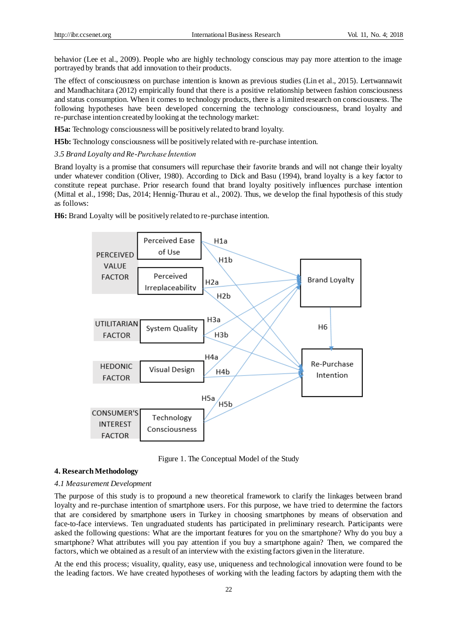behavior (Lee et al., 2009). People who are highly technology conscious may pay more attention to the image portrayed by brands that add innovation to their products.

The effect of consciousness on purchase intention is known as previous studies (Lin et al., 2015). Lertwannawit and Mandhachitara (2012) empirically found that there is a positive relationship between fashion consciousness and status consumption. When it comes to technology products, there is a limited research on consciousness. The following hypotheses have been developed concerning the technology consciousness, brand loyalty and re-purchase intention created by looking at the technology market:

**H5a:** Technology consciousness will be positively related to brand loyalty.

**H5b:** Technology consciousness will be positively related with re-purchase intention.

*3.5 Brand Loyalty and Re-Purchase İntention*

Brand loyalty is a promise that consumers will repurchase their favorite brands and will not change their loyalty under whatever condition (Oliver, 1980). According to Dick and Basu (1994), brand loyalty is a key factor to constitute repeat purchase. Prior research found that brand loyalty positively influences purchase intention (Mittal et al., 1998; Das, 2014; Hennig-Thurau et al., 2002). Thus, we develop the final hypothesis of this study as follows:

**H6:** Brand Loyalty will be positively related to re-purchase intention.



Figure 1. The Conceptual Model of the Study

## **4. Research Methodology**

#### *4.1 Measurement Development*

The purpose of this study is to propound a new theoretical framework to clarify the linkages between brand loyalty and re-purchase intention of smartphone users. For this purpose, we have tried to determine the factors that are considered by smartphone users in Turkey in choosing smartphones by means of observation and face-to-face interviews. Ten ungraduated students has participated in preliminary research. Participants were asked the following questions: What are the important features for you on the smartphone? Why do you buy a smartphone? What attributes will you pay attention if you buy a smartphone again? Then, we compared the factors, which we obtained as a result of an interview with the existing factors given in the literature.

At the end this process; visuality, quality, easy use, uniqueness and technological innovation were found to be the leading factors. We have created hypotheses of working with the leading factors by adapting them with the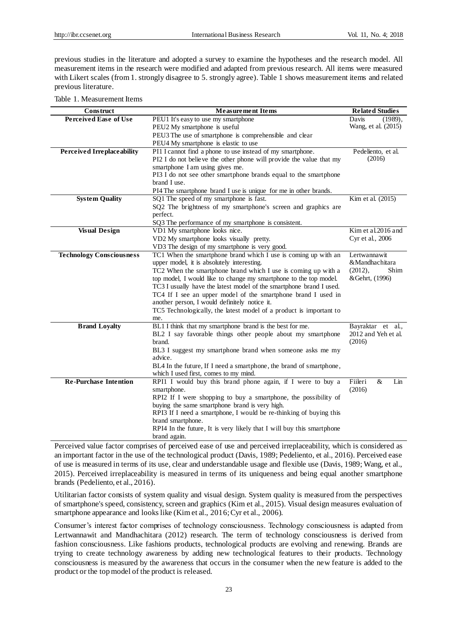previous studies in the literature and adopted a survey to examine the hypotheses and the research model. All measurement items in the research were modified and adapted from previous research. All items were measured with Likert scales (from 1. strongly disagree to 5. strongly agree). Table 1 shows measurement items and related previous literature.

| Table 1. Measurement Items |
|----------------------------|
|                            |

| Construct                         | <b>Measurement Items</b>                                              | <b>Related Studies</b>                   |
|-----------------------------------|-----------------------------------------------------------------------|------------------------------------------|
| <b>Perceived Ease of Use</b>      | PEU1 It's easy to use my smartphone                                   | Davis<br>$(1989)$ ,                      |
|                                   | PEU2 My smartphone is useful                                          | Wang, et al. (2015)                      |
|                                   | PEU3 The use of smartphone is comprehensible and clear                |                                          |
|                                   | PEU4 My smartphone is elastic to use                                  |                                          |
| <b>Perceived Irreplaceability</b> | PI1 I cannot find a phone to use instead of my smartphone.            | Pedeliento, et al.                       |
|                                   | PI2 I do not believe the other phone will provide the value that my   | (2016)                                   |
|                                   | smartphone I am using gives me.                                       |                                          |
|                                   | PI3 I do not see other smartphone brands equal to the smartphone      |                                          |
|                                   | brand I use.                                                          |                                          |
|                                   | PI4 The smartphone brand I use is unique for me in other brands.      |                                          |
| <b>System Quality</b>             | SQ1 The speed of my smartphone is fast.                               | Kim et al. (2015)                        |
|                                   | SQ2 The brightness of my smartphone's screen and graphics are         |                                          |
|                                   | perfect.                                                              |                                          |
|                                   | SQ3 The performance of my smartphone is consistent.                   |                                          |
| <b>Visual Design</b>              | VD1 My smartphone looks nice.                                         | Kim et al.2016 and                       |
|                                   | VD2 My smartphone looks visually pretty.                              | Cyr et al., 2006                         |
|                                   | VD3 The design of my smartphone is very good.                         |                                          |
| <b>Technology Consciousness</b>   | TC1 When the smartphone brand which I use is coming up with an        | Lertwannawit                             |
|                                   | upper model, it is absolutely interesting.                            | &Mandhachitara                           |
|                                   | TC2 When the smartphone brand which I use is coming up with a         | (2012),<br>Shim                          |
|                                   | top model, I would like to change my smartphone to the top model.     | &Gehrt, (1996)                           |
|                                   | TC3 I usually have the latest model of the smartphone brand I used.   |                                          |
|                                   | TC4 If I see an upper model of the smartphone brand I used in         |                                          |
|                                   | another person, I would definitely notice it.                         |                                          |
|                                   | TC5 Technologically, the latest model of a product is important to    |                                          |
|                                   | me.                                                                   |                                          |
| <b>Brand Loyalty</b>              | BL1 I think that my smartphone brand is the best for me.              | Bayraktar et al.,<br>2012 and Yeh et al. |
|                                   | BL2 I say favorable things other people about my smartphone<br>brand. | (2016)                                   |
|                                   | BL3 I suggest my smartphone brand when someone asks me my             |                                          |
|                                   | advice.                                                               |                                          |
|                                   | BL4 In the future, If I need a smartphone, the brand of smartphone,   |                                          |
|                                   | which I used first, comes to my mind.                                 |                                          |
| <b>Re-Purchase Intention</b>      | RPI1 I would buy this brand phone again, if I were to buy a           | Fiileri<br>Lin<br>&                      |
|                                   | smartphone.                                                           | (2016)                                   |
|                                   | RPI2 If I were shopping to buy a smartphone, the possibility of       |                                          |
|                                   | buying the same smartphone brand is very high.                        |                                          |
|                                   | RPI3 If I need a smartphone, I would be re-thinking of buying this    |                                          |
|                                   | brand smartphone.                                                     |                                          |
|                                   | RPI4 In the future, It is very likely that I will buy this smartphone |                                          |
|                                   | brand again.                                                          |                                          |

Perceived value factor comprises of perceived ease of use and perceived irreplaceability, which is considered as an important factor in the use of the technological product (Davis, 1989; Pedeliento, et al., 2016). Perceived ease of use is measured in terms of its use, clear and understandable usage and flexible use (Davis, 1989; Wang, et al., 2015). Perceived irreplaceability is measured in terms of its uniqueness and being equal another smartphone brands (Pedeliento, et al., 2016).

Utilitarian factor consists of system quality and visual design. System quality is measured from the perspectives of smartphone's speed, consistency, screen and graphics (Kim et al., 2015). Visual design measures evaluation of smartphone appearance and looks like (Kim et al., 2016; Cyr et al., 2006).

Consumer's interest factor comprises of technology consciousness. Technology consciousness is adapted from Lertwannawit and Mandhachitara (2012) research. The term of technology consciousness is derived from fashion consciousness. Like fashions products, technological products are evolving and renewing. Brands are trying to create technology awareness by adding new technological features to their products. Technology consciousness is measured by the awareness that occurs in the consumer when the new feature is added to the product or the top model of the product is released.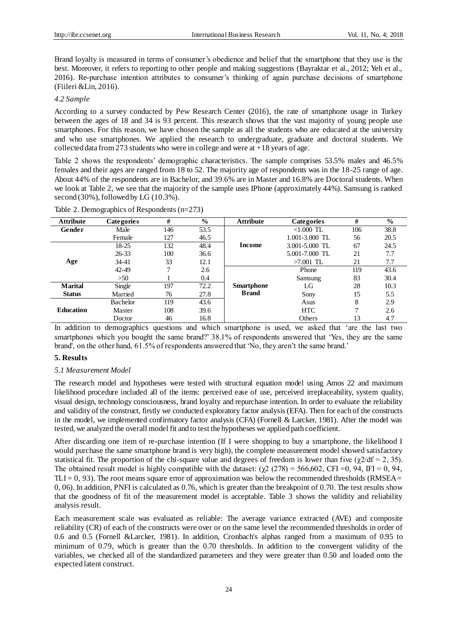Brand loyalty is measured in terms of consumer's obedience and belief that the smartphone that they use is the best. Moreover, it refers to reporting to other people and making suggestions (Bayraktar et al., 2012; Yeh et al., 2016). Re-purchase intention attributes to consumer's thinking of again purchase decisions of smartphone (Fiileri &Lin, 2016).

## *4.2 Sample*

According to a survey conducted by Pew Research Center (2016), the rate of smartphone usage in Turkey between the ages of 18 and 34 is 93 percent. This research shows that the vast majority of young people use smartphones. For this reason, we have chosen the sample as all the students who are educated at the university and who use smartphones. We applied the research to undergraduate, graduate and doctoral students. We collected data from 273 students who were in college and were at +18 years of age.

Table 2 shows the respondents' demographic characteristics. The sample comprises 53.5% males and 46.5% females and their ages are ranged from 18 to 52. The majority age of respondents was in the 18-25 range of age. About 44% of the respondents are in Bachelor, and 39.6% are in Master and 16.8% are Doctoral students. When we look at Table 2, we see that the majority of the sample uses IPhone (approximately 44%). Samsung is ranked second (30%), followed by LG (10.3%).

| <b>Attribute</b> | Categories      | #   | $\frac{6}{6}$ | <b>Attribute</b>  | <b>Categories</b>  | #            | $\frac{6}{9}$ |
|------------------|-----------------|-----|---------------|-------------------|--------------------|--------------|---------------|
| Gender           | Male            | 146 | 53.5          |                   | $<1.000$ TL        | 106          | 38.8          |
|                  | Female          | 127 | 46.5          |                   | 1.001-3.000 TL     | 56           | 20.5          |
|                  | 18-25           | 132 | 48.4          | <b>Income</b>     | $3.001 - 5.000$ TL | 67           | 24.5          |
|                  | $26 - 33$       | 100 | 36.6          |                   | 5.001-7.000 TL     | 21           | 7.7           |
| Age              | $34-41$         | 33  | 12.1          |                   | $>7.001$ TL        | 21           | 7.7           |
|                  | 42-49           |     | 2.6           |                   | Phone              | 119          | 43.6          |
|                  | >50             |     | 0.4           |                   | Samsung            | 83           | 30.4          |
| <b>Marital</b>   | Single          | 197 | 72.2          | <b>Smartphone</b> | LG                 | 28           | 10.3          |
| <b>Status</b>    | Married         | 76  | 27.8          | <b>B</b> rand     | Sony               | 15           | 5.5           |
|                  | <b>Bachelor</b> | 119 | 43.6          |                   | Asus               | 8            | 2.9           |
| <b>Education</b> | Master          | 108 | 39.6          |                   | <b>HTC</b>         | $\mathbf{r}$ | 2.6           |
|                  | Doctor          | 46  | 16.8          |                   | Others             | 13           | 4.7           |

Table 2. Demographics of Respondents (n=273)

In addition to demographics questions and which smartphone is used, we asked that 'are the last two smartphones which you bought the same brand?' 38.1% of respondents answered that 'Yes, they are the same brand', on the other hand, 61.5% of respondents answered that 'No, they aren't the same brand.'

# **5. Results**

## *5.1 Measurement Model*

The research model and hypotheses were tested with structural equation model using Amos 22 and maximum likelihood procedure included all of the items: perceived ease of use, perceived irreplaceability, system quality, visual design, technology consciousness, brand loyalty and repurchase intention. In order to evaluate the reliability and validity of the construct, firstly we conducted exploratory factor analysis (EFA). Then for each of the constructs in the model, we implemented confirmatory factor analysis (CFA) (Fornell & Larcker, 1981). After the model was tested, we analyzed the overall model fit and to test the hypotheses we applied path coefficient.

After discarding one item of re-purchase intention (If I were shopping to buy a smartphone, the likelihood I would purchase the same smartphone brand is very high), the complete measurement model showed satisfactory statistical fit. The proportion of the chi-square value and degrees of freedom is lower than five ( $\chi$ 2/df = 2, 35). The obtained result model is highly compatible with the dataset:  $(\chi^2 (278) = 566,602, CFI = 0, 94, IFI = 0, 94,$ TLI =  $0, 93$ ). The root means square error of approximation was below the recommended thresholds (RMSEA = 0, 06). In addition, PNFI is calculated as 0.76, which is greater than the breakpoint of 0.70. The test results show that the goodness of fit of the measurement model is acceptable. Table 3 shows the validity and reliability analysis result.

Each measurement scale was evaluated as reliable: The average variance extracted (AVE) and composite reliability (CR) of each of the constructs were over or on the same level the recommended thresholds in order of 0.6 and 0.5 (Fornell &Larcker, 1981). In addition, Cronbach's alphas ranged from a maximum of 0.95 to minimum of 0.79, which is greater than the 0.70 thresholds. In addition to the convergent validity of the variables, we checked all of the standardized parameters and they were greater than 0.50 and loaded onto the expected latent construct.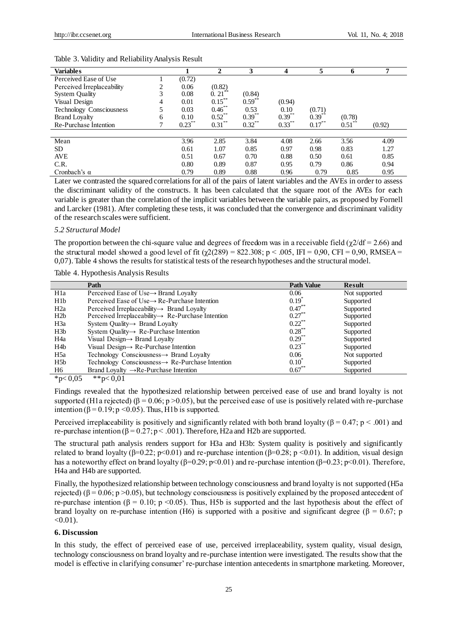| <b>Variables</b>           |   |           | 2         | 3         | 4         | 5         | <sub>0</sub> | 7      |
|----------------------------|---|-----------|-----------|-----------|-----------|-----------|--------------|--------|
| Perceived Ease of Use      |   | (0.72)    |           |           |           |           |              |        |
| Perceived İrreplaceability | 2 | 0.06      | (0.82)    |           |           |           |              |        |
| <b>System Quality</b>      | 3 | 0.08      | 0.21      | (0.84)    |           |           |              |        |
| Visual Design              | 4 | 0.01      | $0.15***$ | $0.59***$ | (0.94)    |           |              |        |
| Technology Consciousness   |   | 0.03      | $0.46***$ | 0.53      | 0.10      | (0.71)    |              |        |
| <b>Brand Loyalty</b>       | 6 | 0.10      | $0.52***$ | $0.39***$ | $0.39***$ | $0.39**$  | (0.78)       |        |
| Re-Purchase Intention      | 7 | $0.23***$ | $0.31***$ | $0.32***$ | $0.33***$ | $0.17***$ | $0.51$ **    | (0.92) |
|                            |   |           |           |           |           |           |              |        |
| Mean                       |   | 3.96      | 2.85      | 3.84      | 4.08      | 2.66      | 3.56         | 4.09   |
| SD.                        |   | 0.61      | 1.07      | 0.85      | 0.97      | 0.98      | 0.83         | 1.27   |
| <b>AVE</b>                 |   | 0.51      | 0.67      | 0.70      | 0.88      | 0.50      | 0.61         | 0.85   |
| C.R.                       |   | 0.80      | 0.89      | 0.87      | 0.95      | 0.79      | 0.86         | 0.94   |
| Cronbach's $\alpha$        |   | 0.79      | 0.89      | 0.88      | 0.96      | 0.79      | 0.85         | 0.95   |

#### Table 3. Validity and Reliability Analysis Result

Later we contrasted the squared correlations for all of the pairs of latent variables and the AVEs in order to assess the discriminant validity of the constructs. It has been calculated that the square root of the AVEs for each variable is greater than the correlation of the implicit variables between the variable pairs, as proposed by Fornell and Larcker (1981). After completing these tests, it was concluded that the convergence and discriminant validity of the research scales were sufficient.

#### *5.2 Structural Model*

The proportion between the chi-square value and degrees of freedom was in a receivable field ( $\chi$ 2/df = 2.66) and the structural model showed a good level of fit  $(\gamma 2(289) = 822.308; p < .005$ , IFI = 0.90, CFI = 0.90, RMSEA = 0,07). Table 4 shows the results for statistical tests of the research hypotheses and the structural model.

Table 4. Hypothesis Analysis Results

|                  | Path                                                           | <b>Path Value</b>   | <b>Result</b> |
|------------------|----------------------------------------------------------------|---------------------|---------------|
| H <sub>1</sub> a | Perceived Ease of Use $\rightarrow$ Brand Loyalty              | 0.06                | Not supported |
| H <sub>1</sub> b | Perceived Ease of Use $\rightarrow$ Re-Purchase Intention      | $0.19^{3}$          | Supported     |
| H2a              | Perceived Irreplaceability $\rightarrow$ Brand Loyalty         | 0.47                | Supported     |
| H <sub>2</sub> b | Perceived Irreplaceability $\rightarrow$ Re-Purchase Intention | $0.27***$           | Supported     |
| H <sub>3</sub> a | System Quality $\rightarrow$ Brand Loyalty                     | $0.22$ **           | Supported     |
| H3b              | System Quality $\rightarrow$ Re-Purchase Intention             | 0.28                | Supported     |
| H4a              | Visual Design $\rightarrow$ Brand Loyalty                      | $0.29$ <sup>*</sup> | Supported     |
| H <sub>4</sub> b | Visual Design $\rightarrow$ Re-Purchase Intention              | $0.23$ **           | Supported     |
| H <sub>5a</sub>  | Technology Consciousness $\rightarrow$ Brand Loyalty           | 0.06                | Not supported |
| H <sub>5</sub> b | Technology Consciousness→ Re-Purchase Intention                | $0.10^{\circ}$      | Supported     |
| H6               | Brand Lovalty $\rightarrow$ Re-Purchase Intention              | $0.67$ **           | Supported     |

 $*_{p< 0.05}$   $*_{p< 0.01}$ 

Findings revealed that the hypothesized relationship between perceived ease of use and brand loyalty is not supported (H1a rejected) ( $\beta$  = 0.06; p > 0.05), but the perceived ease of use is positively related with re-purchase intention ( $\beta$  = 0.19; p < 0.05). Thus, H1b is supported.

Perceived irreplaceability is positively and significantly related with both brand loyalty ( $\beta = 0.47$ ; p < .001) and re-purchase intention ( $β = 0.27$ ;  $p < .001$ ). Therefore, H2a and H2b are supported.

The structural path analysis renders support for H3a and H3b: System quality is positively and significantly related to brand loyalty ( $\beta$ =0.22; p<0.01) and re-purchase intention ( $\beta$ =0.28; p <0.01). In addition, visual design has a noteworthy effect on brand loyalty ( $\beta$ =0.29; p<0.01) and re-purchase intention ( $\beta$ =0.23; p<0.01). Therefore, H4a and H4b are supported.

Finally, the hypothesized relationship between technology consciousness and brand loyalty is not supported (H5a rejected) (β = 0.06; p > 0.05), but technology consciousness is positively explained by the proposed antecedent of re-purchase intention (β = 0.10; p <0.05). Thus, H5b is supported and the last hypothesis about the effect of brand loyalty on re-purchase intention (H6) is supported with a positive and significant degree (β = 0.67; p  $<0.01$ ).

## **6. Discussion**

In this study, the effect of perceived ease of use, perceived irreplaceability, system quality, visual design, technology consciousness on brand loyalty and re-purchase intention were investigated. The results show that the model is effective in clarifying consumer' re-purchase intention antecedents in smartphone marketing. Moreover,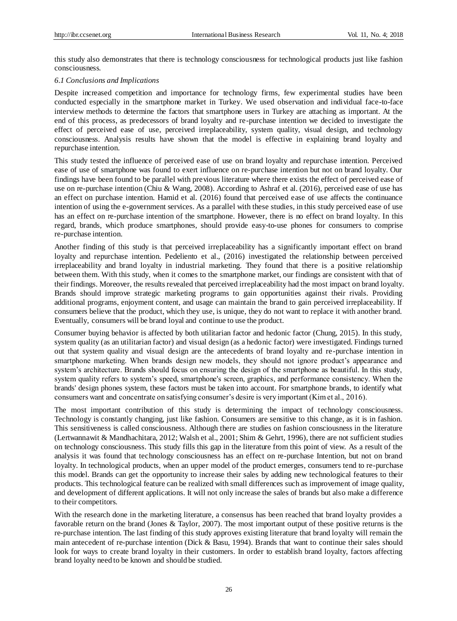this study also demonstrates that there is technology consciousness for technological products just like fashion consciousness.

#### *6.1 Conclusions and Implications*

Despite increased competition and importance for technology firms, few experimental studies have been conducted especially in the smartphone market in Turkey. We used observation and individual face-to-face interview methods to determine the factors that smartphone users in Turkey are attaching as important. At the end of this process, as predecessors of brand loyalty and re-purchase intention we decided to investigate the effect of perceived ease of use, perceived irreplaceability, system quality, visual design, and technology consciousness. Analysis results have shown that the model is effective in explaining brand loyalty and repurchase intention.

This study tested the influence of perceived ease of use on brand loyalty and repurchase intention. Perceived ease of use of smartphone was found to exert influence on re-purchase intention but not on brand loyalty. Our findings have been found to be parallel with previous literature where there exists the effect of perceived ease of use on re-purchase intention (Chiu & Wang, 2008). According to Ashraf et al. (2016), perceived ease of use has an effect on purchase intention. Hamid et al. (2016) found that perceived ease of use affects the continuance intention of using the e-government services. As a parallel with these studies, in this study perceived ease of use has an effect on re-purchase intention of the smartphone. However, there is no effect on brand loyalty. In this regard, brands, which produce smartphones, should provide easy-to-use phones for consumers to comprise re-purchase intention.

Another finding of this study is that perceived irreplaceability has a significantly important effect on brand loyalty and repurchase intention. Pedeliento et al., (2016) investigated the relationship between perceived irreplaceability and brand loyalty in industrial marketing. They found that there is a positive relationship between them. With this study, when it comes to the smartphone market, our findings are consistent with that of their findings. Moreover, the results revealed that perceived irreplaceability had the most impact on brand loyalty. Brands should improve strategic marketing programs to gain opportunities against their rivals. Providing additional programs, enjoyment content, and usage can maintain the brand to gain perceived irreplaceability. If consumers believe that the product, which they use, is unique, they do not want to replace it with another brand. Eventually, consumers will be brand loyal and continue to use the product.

Consumer buying behavior is affected by both utilitarian factor and hedonic factor (Chung, 2015). In this study, system quality (as an utilitarian factor) and visual design (as a hedonic factor) were investigated. Findings turned out that system quality and visual design are the antecedents of brand loyalty and re-purchase intention in smartphone marketing. When brands design new models, they should not ignore product's appearance and system's architecture. Brands should focus on ensuring the design of the smartphone as beautiful. In this study, system quality refers to system's speed, smartphone's screen, graphics, and performance consistency. When the brands' design phones system, these factors must be taken into account. For smartphone brands, to identify what consumers want and concentrate on satisfying consumer's desire is very important (Kim et al., 2016).

The most important contribution of this study is determining the impact of technology consciousness. Technology is constantly changing, just like fashion. Consumers are sensitive to this change, as it is in fashion. This sensitiveness is called consciousness. Although there are studies on fashion consciousness in the literature (Lertwannawit & Mandhachitara, 2012; Walsh et al., 2001; Shim & Gehrt, 1996), there are not sufficient studies on technology consciousness. This study fills this gap in the literature from this point of view. As a result of the analysis it was found that technology consciousness has an effect on re-purchase Intention, but not on brand loyalty. In technological products, when an upper model of the product emerges, consumers tend to re-purchase this model. Brands can get the opportunity to increase their sales by adding new technological features to their products. This technological feature can be realized with small differences such as improvement of image quality, and development of different applications. It will not only increase the sales of brands but also make a difference to their competitors.

With the research done in the marketing literature, a consensus has been reached that brand loyalty provides a favorable return on the brand (Jones & Taylor, 2007). The most important output of these positive returns is the re-purchase intention. The last finding of this study approves existing literature that brand loyalty will remain the main antecedent of re-purchase intention (Dick & Basu, 1994). Brands that want to continue their sales should look for ways to create brand loyalty in their customers. In order to establish brand loyalty, factors affecting brand loyalty need to be known and should be studied.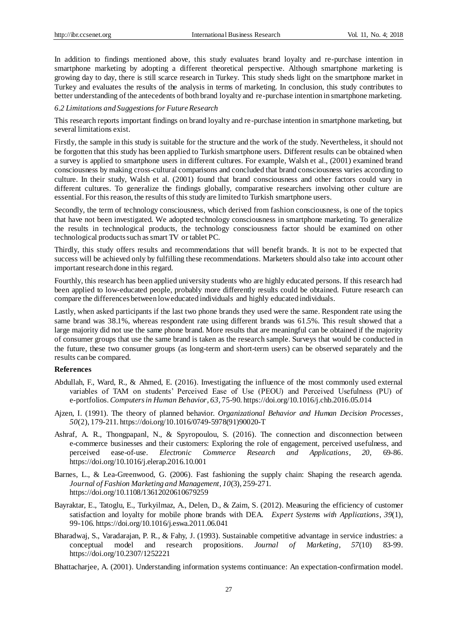In addition to findings mentioned above, this study evaluates brand loyalty and re-purchase intention in smartphone marketing by adopting a different theoretical perspective. Although smartphone marketing is growing day to day, there is still scarce research in Turkey. This study sheds light on the smartphone market in Turkey and evaluates the results of the analysis in terms of marketing. In conclusion, this study contributes to better understanding of the antecedents of both brand loyalty and re-purchase intention in smartphone marketing.

## *6.2 Limitations and Suggestions for Future Research*

This research reports important findings on brand loyalty and re-purchase intention in smartphone marketing, but several limitations exist.

Firstly, the sample in this study is suitable for the structure and the work of the study. Nevertheless, it should not be forgotten that this study has been applied to Turkish smartphone users. Different results can be obtained when a survey is applied to smartphone users in different cultures. For example, Walsh et al., (2001) examined brand consciousness by making cross-cultural comparisons and concluded that brand consciousness varies according to culture. In their study, Walsh et al. (2001) found that brand consciousness and other factors could vary in different cultures. To generalize the findings globally, comparative researchers involving other culture are essential. For this reason, the results of this study are limited to Turkish smartphone users.

Secondly, the term of technology consciousness, which derived from fashion consciousness, is one of the topics that have not been investigated. We adopted technology consciousness in smartphone marketing. To generalize the results in technological products, the technology consciousness factor should be examined on other technological products such as smart TV or tablet PC.

Thirdly, this study offers results and recommendations that will benefit brands. It is not to be expected that success will be achieved only by fulfilling these recommendations. Marketers should also take into account other important research done in this regard.

Fourthly, this research has been applied university students who are highly educated persons. If this research had been applied to low-educated people, probably more differently results could be obtained. Future research can compare the differences between low educated individuals and highly educated individuals.

Lastly, when asked participants if the last two phone brands they used were the same. Respondent rate using the same brand was 38.1%, whereas respondent rate using different brands was 61.5%. This result showed that a large majority did not use the same phone brand. More results that are meaningful can be obtained if the majority of consumer groups that use the same brand is taken as the research sample. Surveys that would be conducted in the future, these two consumer groups (as long-term and short-term users) can be observed separately and the results can be compared.

#### **References**

- Abdullah, F., Ward, R., & Ahmed, E. (2016). Investigating the influence of the most commonly used external variables of TAM on students' Perceived Ease of Use (PEOU) and Perceived Usefulness (PU) of e-portfolios. *Computers in Human Behavior*, *63,* 75-90. https://doi.org/10.1016/j.chb.2016.05.014
- Ajzen, I. (1991). The theory of planned behavior. *Organizational Behavior and Human Decision Processes*, *50*(2), 179-211. https://doi.org/10.1016/0749-5978(91)90020-T
- Ashraf, A. R., Thongpapanl, N., & Spyropoulou, S. (2016). The connection and disconnection between e-commerce businesses and their customers: Exploring the role of engagement, perceived usefulness, and perceived ease-of-use. *Electronic Commerce Research and Applications, 20,* 69-86. https://doi.org/10.1016/j.elerap.2016.10.001
- Barnes, L., & Lea-Greenwood, G. (2006). Fast fashioning the supply chain: Shaping the research agenda. *Journal of Fashion Marketing and Management*, *10*(3), 259-271. https://doi.org/10.1108/13612020610679259
- Bayraktar, E., Tatoglu, E., Turkyilmaz, A., Delen, D., & Zaim, S. (2012). Measuring the efficiency of customer satisfaction and loyalty for mobile phone brands with DEA. *Expert Systems with Applications*, *39*(1), 99-106. https://doi.org/10.1016/j.eswa.2011.06.041
- Bharadwaj, S., Varadarajan, P. R., & Fahy, J. (1993). Sustainable competitive advantage in service industries: a conceptual model and research propositions. *Journal of Marketing*, *57*(10) 83-99. https://doi.org/10.2307/1252221

Bhattacharjee, A. (2001). Understanding information systems continuance: An expectation-confirmation model.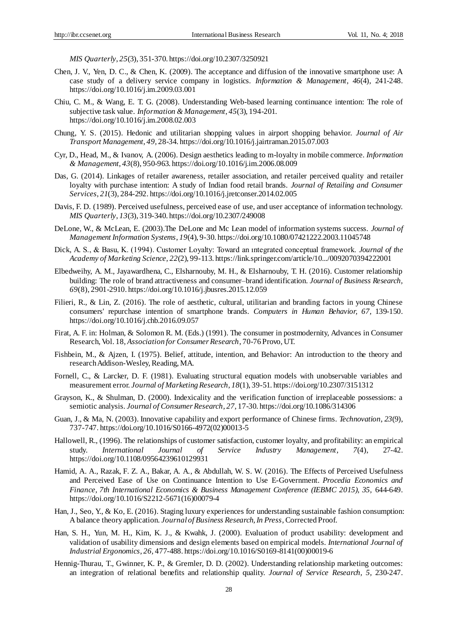*MIS Quarterly*, *25*(3), 351-370. https://doi.org/10.2307/3250921

- Chen, J. V., Yen, D. C., & Chen, K. (2009). The acceptance and diffusion of the innovative smartphone use: A case study of a delivery service company in logistics. *Information & Management*, *46*(4), 241-248. https://doi.org/10.1016/j.im.2009.03.001
- Chiu, C. M., & Wang, E. T. G. (2008). Understanding Web-based learning continuance intention: The role of subjective task value. *Information & Management*, *45*(3), 194-201. https://doi.org/10.1016/j.im.2008.02.003
- Chung, Y. S. (2015). Hedonic and utilitarian shopping values in airport shopping behavior. *Journal of Air Transport Management*, *49,* 28-34. https://doi.org/10.1016/j.jairtraman.2015.07.003
- Cyr, D., Head, M., & Ivanov, A. (2006). Design aesthetics leading to m-loyalty in mobile commerce. *Information & Management*, *43*(8), 950-963. https://doi.org/10.1016/j.im.2006.08.009
- Das, G. (2014). Linkages of retailer awareness, retailer association, and retailer perceived quality and retailer loyalty with purchase intention: A study of Indian food retail brands. *Journal of Retailing and Consumer Services*, *21*(3), 284-292. https://doi.org/10.1016/j.jretconser.2014.02.005
- Davis, F. D. (1989). Perceived usefulness, perceived ease of use, and user acceptance of information technology. *MIS Quarterly*, *13*(3), 319-340. https://doi.org/10.2307/249008
- DeLone, W., & McLean, E. (2003).The DeLone and Mc Lean model of information systems success. *Journal of Management Information Systems*, *19*(4), 9-30. https://doi.org/10.1080/07421222.2003.11045748
- Dick, A. S., & Basu, K. (1994). Customer Loyalty: Toward an ıntegrated conceptual framework. *Journal of the Academy of Marketing Science, 22*(2), 99-113. https://link.springer.com/article/10.../0092070394222001
- Elbedweihy, A. M., Jayawardhena, C., Elsharnouby, M. H., & Elsharnouby, T. H. (2016). Customer relationship building: The role of brand attractiveness and consumer–brand identification. *Journal of Business Research, 69*(8), 2901-2910. https://doi.org/10.1016/j.jbusres.2015.12.059
- Filieri, R., & Lin, Z. (2016). The role of aesthetic, cultural, utilitarian and branding factors in young Chinese consumers' repurchase intention of smartphone brands. *Computers in Human Behavior, 67,* 139-150. https://doi.org/10.1016/j.chb.2016.09.057
- Firat, A. F. in: Holman, & Solomon R. M. (Eds.) (1991). The consumer in postmodernity, Advances in Consumer Research, Vol. 18, *Association for Consumer Research*, 70-76 Provo, UT.
- Fishbein, M., & Ajzen, I. (1975). Belief, attitude, intention, and Behavior: An introduction to the theory and research Addison-Wesley, Reading, MA.
- Fornell, C., & Larcker, D. F. (1981). Evaluating structural equation models with unobservable variables and measurement error. *Journal of Marketing Research*, *18*(1), 39-51. https://doi.org/10.2307/3151312
- Grayson, K., & Shulman, D. (2000). Indexicality and the verification function of irreplaceable possessions: a semiotic analysis. *Journal of Consumer Research*, *27,* 17-30. https://doi.org/10.1086/314306
- Guan, J., & Ma, N. (2003). Innovative capability and export performance of Chinese firms. *Technovation*, *23*(9), 737-747. https://doi.org/10.1016/S0166-4972(02)00013-5
- Hallowell, R., (1996). The relationships of customer satisfaction, customer loyalty, and profitability: an empirical study. *International Journal of Service Industry Management*, *7*(4), 27-42. https://doi.org/10.1108/09564239610129931
- Hamid, A. A., Razak, F. Z. A., Bakar, A. A., & Abdullah, W. S. W. (2016). The Effects of Perceived Usefulness and Perceived Ease of Use on Continuance Intention to Use E-Government. *Procedia Economics and Finance, 7th International Economics & Business Management Conference (IEBMC 2015), 35,* 644-649. https://doi.org/10.1016/S2212-5671(16)00079-4
- Han, J., Seo, Y., & Ko, E. (2016). Staging luxury experiences for understanding sustainable fashion consumption: A balance theory application. *Journal of Business Research, In Press*, Corrected Proof.
- Han, S. H., Yun, M. H., Kim, K. J., & Kwahk, J. (2000). Evaluation of product usability: development and validation of usability dimensions and design elements based on empirical models. *International Journal of Industrial Ergonomics*, *26,* 477-488. https://doi.org/10.1016/S0169-8141(00)00019-6
- Hennig-Thurau, T., Gwinner, K. P., & Gremler, D. D. (2002). Understanding relationship marketing outcomes: an integration of relational benefits and relationship quality. *Journal of Service Research, 5,* 230-247.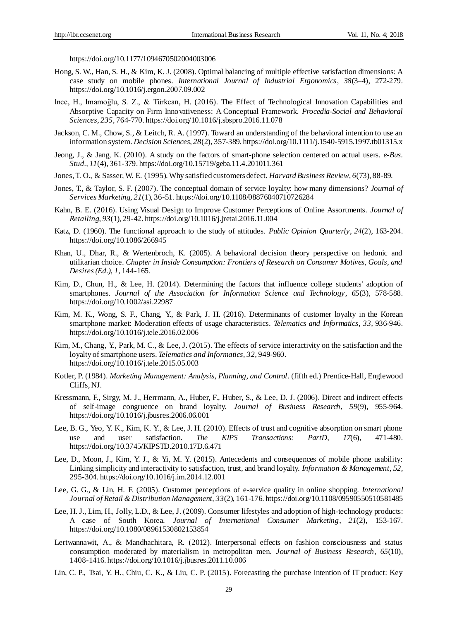https://doi.org/10.1177/1094670502004003006

- Hong, S. W., Han, S. H., & Kim, K. J. (2008). Optimal balancing of multiple effective satisfaction dimensions: A case study on mobile phones. *International Journal of Industrial Ergonomics*, *38*(3–4), 272-279. https://doi.org/10.1016/j.ergon.2007.09.002
- Ince, H., Imamoğlu, S. Z., & Türkcan, H. (2016). The Effect of Technological Innovation Capabilities and Absorptive Capacity on Firm Innovativeness: A Conceptual Framework. *Procedia-Social and Behavioral Sciences, 235,* 764-770. https://doi.org/10.1016/j.sbspro.2016.11.078
- Jackson, C. M., Chow, S., & Leitch, R. A. (1997). Toward an understanding of the behavioral intention to use an information system. *Decision Sciences*, *28*(2), 357-389. https://doi.org/10.1111/j.1540-5915.1997.tb01315.x
- Jeong, J., & Jang, K. (2010). A study on the factors of smart-phone selection centered on actual users. *e-Bus. Stud., 11*(4), 361-379. https://doi.org/10.15719/geba.11.4.201011.361
- Jones, T. O., & Sasser, W. E. (1995). Why satisfied customers defect. *Harvard Business Review*, *6*(73), 88-89.
- Jones, T., & Taylor, S. F. (2007). The conceptual domain of service loyalty: how many dimensions? *Journal of Services Marketing, 21*(1), 36-51. https://doi.org/10.1108/08876040710726284
- Kahn, B. E. (2016). Using Visual Design to Improve Customer Perceptions of Online Assortments. *Journal of Retailing*, *93*(1), 29-42. https://doi.org/10.1016/j.jretai.2016.11.004
- Katz, D. (1960). The functional approach to the study of attitudes. *Public Opinion Quarterly*, *24*(2), 163-204. https://doi.org/10.1086/266945
- Khan, U., Dhar, R., & Wertenbroch, K. (2005). A behavioral decision theory perspective on hedonic and utilitarian choice. *Chapter in Inside Consumption: Frontiers of Research on Consumer Motives, Goals, and Desires (Ed.)*, *1,* 144-165.
- Kim, D., Chun, H., & Lee, H. (2014). Determining the factors that influence college students' adoption of smartphones. *Journal of the Association for Information Science and Technology*, *65*(3), 578-588. https://doi.org/10.1002/asi.22987
- Kim, M. K., Wong, S. F., Chang, Y., & Park, J. H. (2016). Determinants of customer loyalty in the Korean smartphone market: Moderation effects of usage characteristics. *Telematics and Informatics*, *33,* 936-946. https://doi.org/10.1016/j.tele.2016.02.006
- Kim, M., Chang, Y., Park, M. C., & Lee, J. (2015). The effects of service interactivity on the satisfaction and the loyalty of smartphone users. *Telematics and Informatics, 32,* 949-960. https://doi.org/10.1016/j.tele.2015.05.003
- Kotler, P. (1984). *Marketing Management: Analysis, Planning, and Control*. (fifth ed.) Prentice-Hall, Englewood Cliffs, NJ.
- Kressmann, F., Sirgy, M. J., Herrmann, A., Huber, F., Huber, S., & Lee, D. J. (2006). Direct and indirect effects of self-image congruence on brand loyalty. *Journal of Business Research*, *59*(9), 955-964. https://doi.org/10.1016/j.jbusres.2006.06.001
- Lee, B. G., Yeo, Y. K., Kim, K. Y., & Lee, J. H. (2010). Effects of trust and cognitive absorption on smart phone use and user satisfaction. *The KIPS Transactions: PartD*, *17*(6), 471-480. https://doi.org/10.3745/KIPSTD.2010.17D.6.471
- Lee, D., Moon, J., Kim, Y. J., & Yi, M. Y. (2015). Antecedents and consequences of mobile phone usability: Linking simplicity and interactivity to satisfaction, trust, and brand loyalty. *Information & Management*, *52,*  295-304. https://doi.org/10.1016/j.im.2014.12.001
- Lee, G. G., & Lin, H. F. (2005). Customer perceptions of e-service quality in online shopping. *International Journal of Retail & Distribution Management, 33*(2), 161-176. https://doi.org/10.1108/09590550510581485
- Lee, H. J., Lim, H., Jolly, L.D., & Lee, J. (2009). Consumer lifestyles and adoption of high-technology products: A case of South Korea. *Journal of International Consumer Marketing*, *21*(2), 153-167. https://doi.org/10.1080/08961530802153854
- Lertwannawit, A., & Mandhachitara, R. (2012). Interpersonal effects on fashion consciousness and status consumption moderated by materialism in metropolitan men. *Journal of Business Research*, *65*(10), 1408-1416. https://doi.org/10.1016/j.jbusres.2011.10.006
- Lin, C. P., Tsai, Y. H., Chiu, C. K., & Liu, C. P. (2015). Forecasting the purchase intention of IT product: Key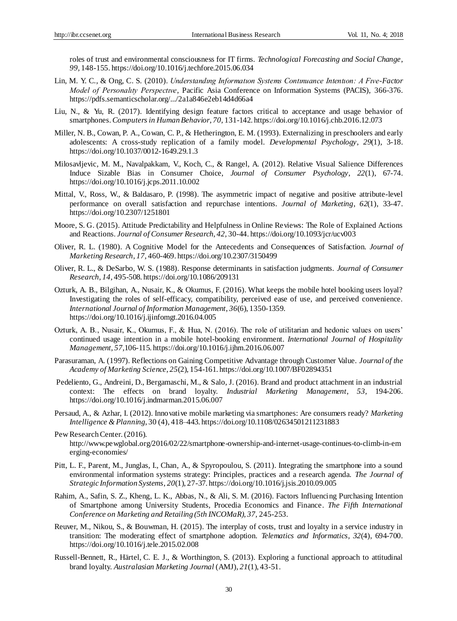roles of trust and environmental consciousness for IT firms. *Technological Forecasting and Social Change*, *99,* 148-155. https://doi.org/10.1016/j.techfore.2015.06.034

- Lin, M. Y. C., & Ong, C. S. (2010). *Understandıng Informatıon Systems Contınuance Intentıon: A Fıve-Factor Model of Personalıty Perspectıve*, Pacific Asia Conference on Information Systems (PACIS), 366-376. https://pdfs.semanticscholar.org/.../2a1a846e2eb14d4d66a4
- Liu, N., & Yu, R. (2017). Identifying design feature factors critical to acceptance and usage behavior of smartphones. *Computers in Human Behavior*, *70,* 131-142. https://doi.org/10.1016/j.chb.2016.12.073
- Miller, N. B., Cowan, P. A., Cowan, C. P., & Hetherington, E. M. (1993). Externalizing in preschoolers and early adolescents: A cross-study replication of a family model. *Developmental Psychology*, *29*(1), 3-18. https://doi.org/10.1037/0012-1649.29.1.3
- Milosavljevic, M. M., Navalpakkam, V., Koch, C., & Rangel, A. (2012). Relative Visual Salience Differences Induce Sizable Bias in Consumer Choice, *Journal of Consumer Psychology*, *22*(1), 67-74. https://doi.org/10.1016/j.jcps.2011.10.002
- Mittal, V., Ross, W., & Baldasaro, P. (1998). The asymmetric impact of negative and positive attribute-level performance on overall satisfaction and repurchase intentions. *Journal of Marketing*, *62*(1), 33-47. https://doi.org/10.2307/1251801
- Moore, S. G. (2015). Attitude Predictability and Helpfulness in Online Reviews: The Role of Explained Actions and Reactions. *Journal of Consumer Research*, *42,* 30-44. https://doi.org/10.1093/jcr/ucv003
- Oliver, R. L. (1980). A Cognitive Model for the Antecedents and Consequences of Satisfaction. *Journal of Marketing Research*, *17,* 460-469. https://doi.org/10.2307/3150499
- Oliver, R. L., & DeSarbo, W. S. (1988). Response determinants in satisfaction judgments. *Journal of Consumer Research*, *14,* 495-508. https://doi.org/10.1086/209131
- Ozturk, A. B., Bilgihan, A., Nusair, K., & Okumus, F. (2016). What keeps the mobile hotel booking users loyal? Investigating the roles of self-efficacy, compatibility, perceived ease of use, and perceived convenience. *International Journal of Information Management*, *36*(6), 1350-1359. https://doi.org/10.1016/j.ijinfomgt.2016.04.005
- Ozturk, A. B., Nusair, K., Okumus, F., & Hua, N. (2016). The role of utilitarian and hedonic values on users' continued usage intention in a mobile hotel-booking environment. *International Journal of Hospitality Management*, *57,*106-115. https://doi.org/10.1016/j.ijhm.2016.06.007
- Parasuraman, A. (1997). Reflections on Gaining Competitive Advantage through Customer Value. *Journal of the Academy of Marketing Science*, *25*(2), 154-161. https://doi.org/10.1007/BF02894351
- Pedeliento, G., Andreini, D., Bergamaschi, M., & Salo, J. (2016). Brand and product attachment in an industrial context: The effects on brand loyalty. *Industrial Marketing Management*, *53,* 194-206. https://doi.org/10.1016/j.indmarman.2015.06.007
- Persaud, A., & Azhar, I. (2012). Innovative mobile marketing via smartphones: Are consumers ready? *Marketing Intelligence & Planning*, 30 (4), 418–443. https://doi.org/10.1108/02634501211231883
- Pew Research Center. (2016). [http://www.pewglobal.org/2016/02/22/smartphone-ownership-and-internet-usage-continues-to-climb-in-em](http://www.pewglobal.org/2016/02/22/smartphone-ownership-and-internet-usage-continues-to-climb-in-emerging-economies/) [erging-economies/](http://www.pewglobal.org/2016/02/22/smartphone-ownership-and-internet-usage-continues-to-climb-in-emerging-economies/)
- Pitt, L. F., Parent, M., Junglas, I., Chan, A., & Spyropoulou, S. (2011). Integrating the smartphone into a sound environmental information systems strategy: Principles, practices and a research agenda. *The Journal of Strategic Information Systems*, *20*(1), 27-37. https://doi.org/10.1016/j.jsis.2010.09.005
- Rahim, A., Safin, S. Z., Kheng, L. K., Abbas, N., & Ali, S. M. (2016). Factors Influencing Purchasing Intention of Smartphone among University Students, Procedia Economics and Finance. *The Fifth International Conference on Marketing and Retailing (5th INCOMaR), 37,* 245-253.
- Reuver, M., Nikou, S., & Bouwman, H. (2015). The interplay of costs, trust and loyalty in a service industry in transition: The moderating effect of smartphone adoption. *Telematics and Informatics*, *32*(4), 694-700. https://doi.org/10.1016/j.tele.2015.02.008
- Russell-Bennett, R., Härtel, C. E. J., & Worthington, S. (2013). Exploring a functional approach to attitudinal brand loyalty. *Australasian Marketing Journal* (AMJ), *21*(1), 43-51.